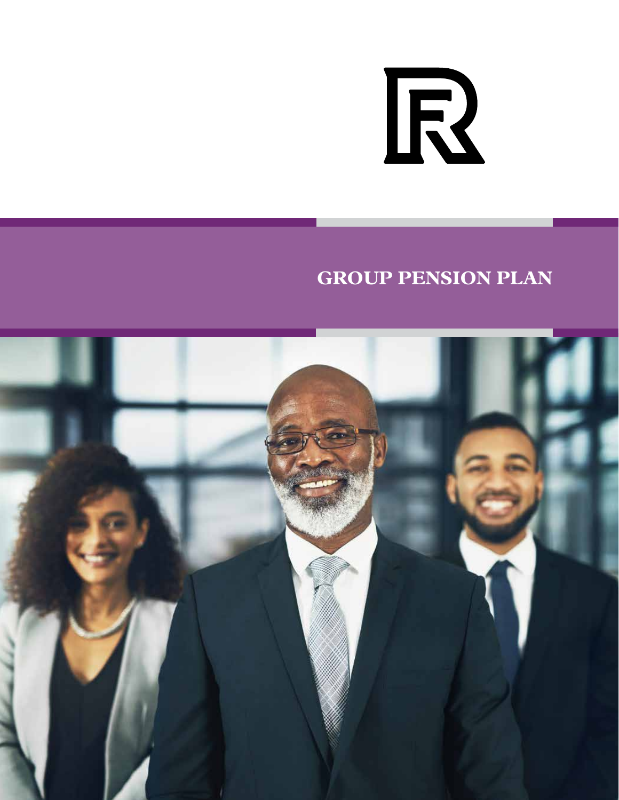

**GROUP PENSION PLAN** 

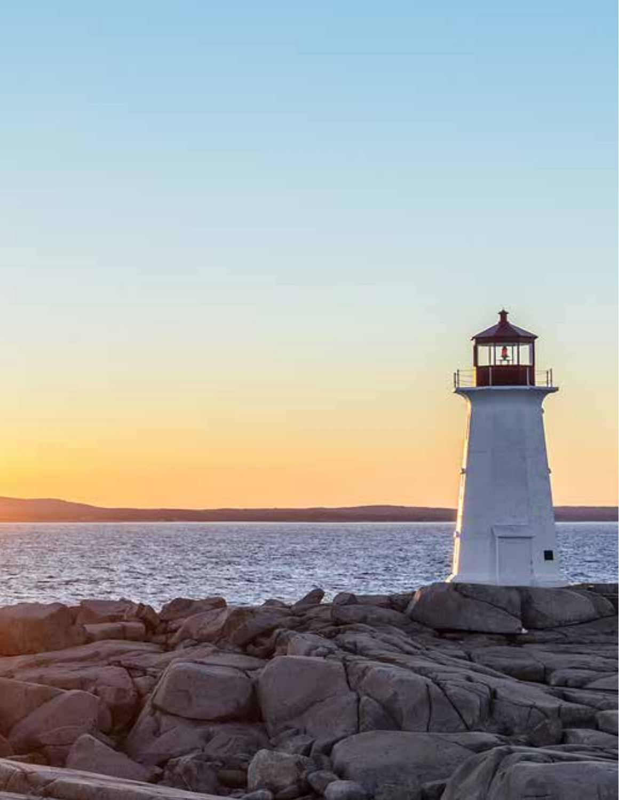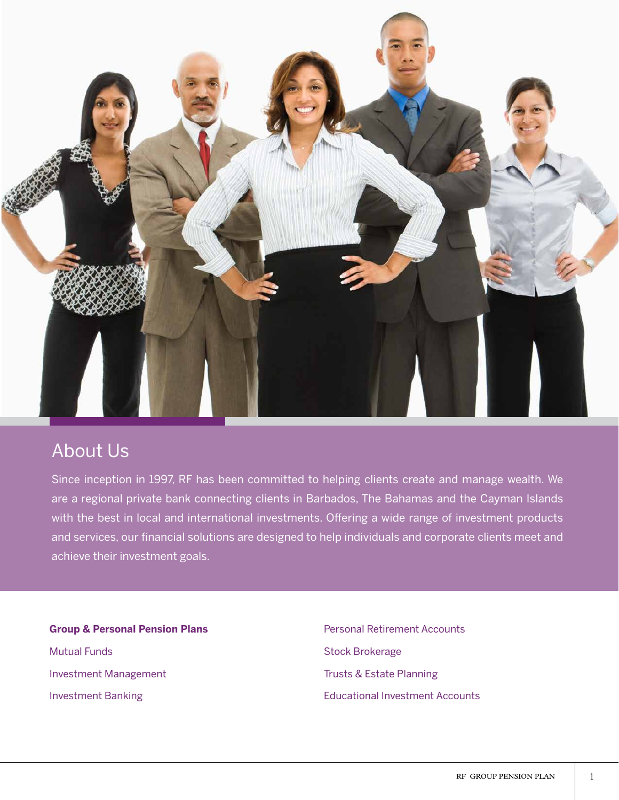

# About Us

Since inception in 1997, RF has been committed to helping clients create and manage wealth. We are a regional private bank connecting clients in Barbados, The Bahamas and the Cayman Islands with the best in local and international investments. Offering a wide range of investment products and services, our financial solutions are designed to help individuals and corporate clients meet and achieve their investment goals.

**Group & Personal Pension Plans** Mutual Funds Investment Management Investment Banking

Personal Retirement Accounts Stock Brokerage Trusts & Estate Planning Educational Investment Accounts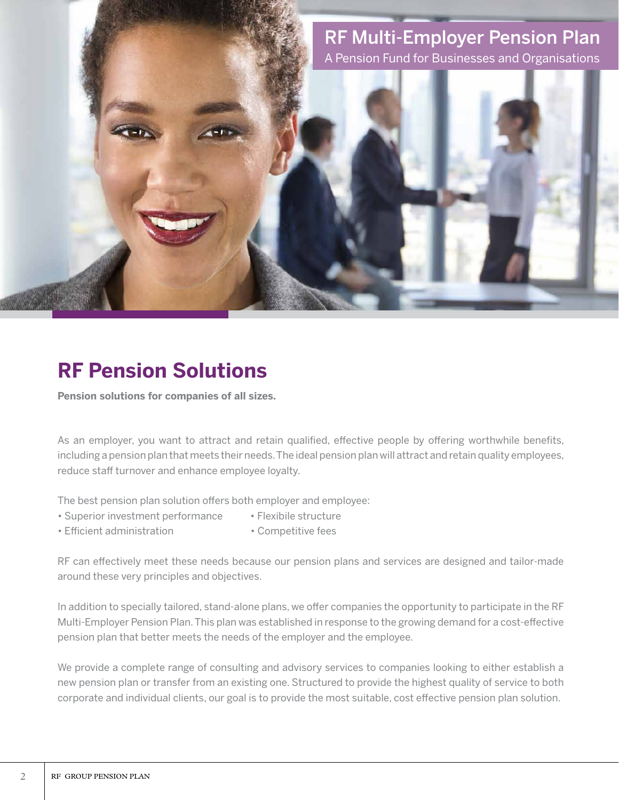

# **RF Pension Solutions**

**Pension solutions for companies of all sizes.**

As an employer, you want to attract and retain qualified, effective people by offering worthwhile benefits, including a pension plan that meets their needs. The ideal pension plan will attract and retain quality employees, reduce staff turnover and enhance employee loyalty.

The best pension plan solution offers both employer and employee:

- Superior investment performance Flexibile structure
- Efficient administration Competitive fees

RF can effectively meet these needs because our pension plans and services are designed and tailor-made around these very principles and objectives.

In addition to specially tailored, stand-alone plans, we offer companies the opportunity to participate in the RF Multi-Employer Pension Plan. This plan was established in response to the growing demand for a cost-effective pension plan that better meets the needs of the employer and the employee.

We provide a complete range of consulting and advisory services to companies looking to either establish a new pension plan or transfer from an existing one. Structured to provide the highest quality of service to both corporate and individual clients, our goal is to provide the most suitable, cost effective pension plan solution.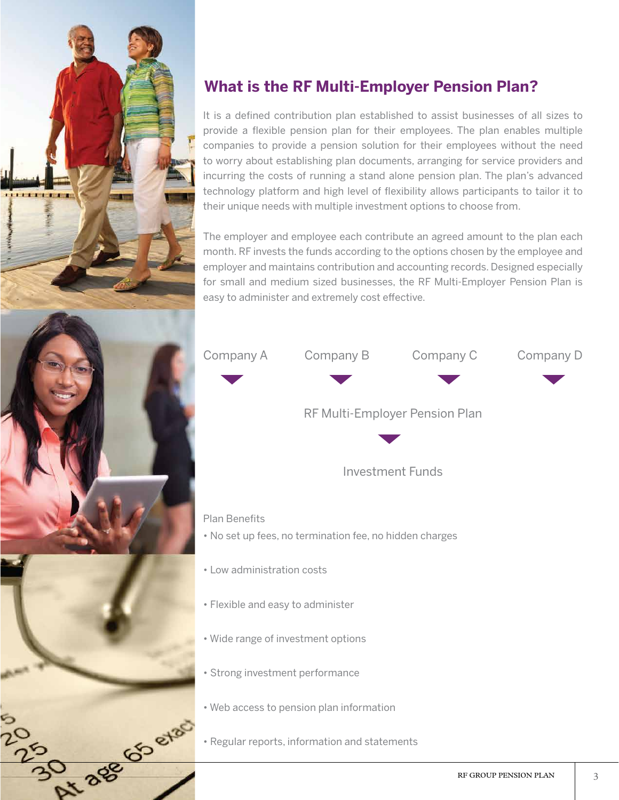

# **What is the RF Multi-Employer Pension Plan?**

It is a defined contribution plan established to assist businesses of all sizes to provide a flexible pension plan for their employees. The plan enables multiple companies to provide a pension solution for their employees without the need to worry about establishing plan documents, arranging for service providers and incurring the costs of running a stand alone pension plan. The plan's advanced technology platform and high level of flexibility allows participants to tailor it to their unique needs with multiple investment options to choose from.

The employer and employee each contribute an agreed amount to the plan each month. RF invests the funds according to the options chosen by the employee and employer and maintains contribution and accounting records. Designed especially for small and medium sized businesses, the RF Multi-Employer Pension Plan is easy to administer and extremely cost effective.

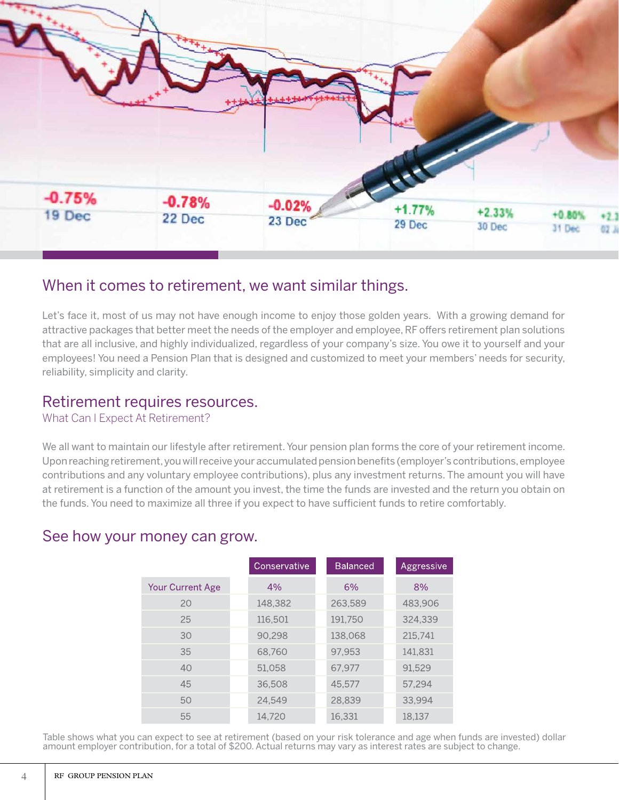

### When it comes to retirement, we want similar things.

Let's face it, most of us may not have enough income to enjoy those golden years. With a growing demand for attractive packages that better meet the needs of the employer and employee, RF offers retirement plan solutions that are all inclusive, and highly individualized, regardless of your company's size. You owe it to yourself and your employees! You need a Pension Plan that is designed and customized to meet your members' needs for security, reliability, simplicity and clarity.

### Retirement requires resources.

#### What Can I Expect At Retirement?

We all want to maintain our lifestyle after retirement. Your pension plan forms the core of your retirement income. Upon reaching retirement, you will receive your accumulated pension benefits (employer's contributions, employee contributions and any voluntary employee contributions), plus any investment returns. The amount you will have at retirement is a function of the amount you invest, the time the funds are invested and the return you obtain on the funds. You need to maximize all three if you expect to have sufficient funds to retire comfortably.

|  |                  | Conservative | <b>Balanced</b> | Aggressive |
|--|------------------|--------------|-----------------|------------|
|  | Your Current Age | 4%           | 6%              | 8%         |
|  | 20               | 148,382      | 263,589         | 483,906    |
|  | 25               | 116,501      | 191,750         | 324,339    |
|  | 30               | 90,298       | 138,068         | 215,741    |
|  | 35               | 68,760       | 97,953          | 141,831    |
|  | 40               | 51,058       | 67,977          | 91,529     |
|  | 45               | 36,508       | 45,577          | 57,294     |
|  | 50               | 24,549       | 28,839          | 33,994     |
|  | 55               | 14.720       | 16,331          | 18,137     |

### See how your money can grow.

Table shows what you can expect to see at retirement (based on your risk tolerance and age when funds are invested) dollar amount employer contribution, for a total of \$200. Actual returns may vary as interest rates are subject to change.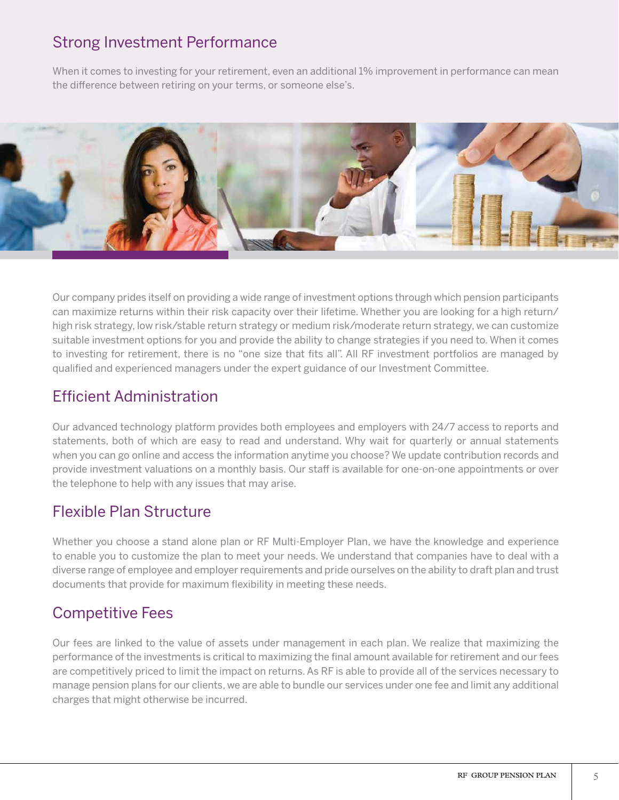### Strong Investment Performance

When it comes to investing for your retirement, even an additional 1% improvement in performance can mean the difference between retiring on your terms, or someone else's.



Our company prides itself on providing a wide range of investment options through which pension participants can maximize returns within their risk capacity over their lifetime. Whether you are looking for a high return/ high risk strategy, low risk/stable return strategy or medium risk/moderate return strategy, we can customize suitable investment options for you and provide the ability to change strategies if you need to. When it comes to investing for retirement, there is no "one size that fits all". All RF investment portfolios are managed by qualified and experienced managers under the expert guidance of our Investment Committee.

### Efficient Administration

Our advanced technology platform provides both employees and employers with 24/7 access to reports and statements, both of which are easy to read and understand. Why wait for quarterly or annual statements when you can go online and access the information anytime you choose? We update contribution records and provide investment valuations on a monthly basis. Our staff is available for one-on-one appointments or over the telephone to help with any issues that may arise.

## Flexible Plan Structure

Whether you choose a stand alone plan or RF Multi-Employer Plan, we have the knowledge and experience to enable you to customize the plan to meet your needs. We understand that companies have to deal with a diverse range of employee and employer requirements and pride ourselves on the ability to draft plan and trust documents that provide for maximum flexibility in meeting these needs.

# Competitive Fees

Our fees are linked to the value of assets under management in each plan. We realize that maximizing the performance of the investments is critical to maximizing the final amount available for retirement and our fees are competitively priced to limit the impact on returns. As RF is able to provide all of the services necessary to manage pension plans for our clients, we are able to bundle our services under one fee and limit any additional charges that might otherwise be incurred.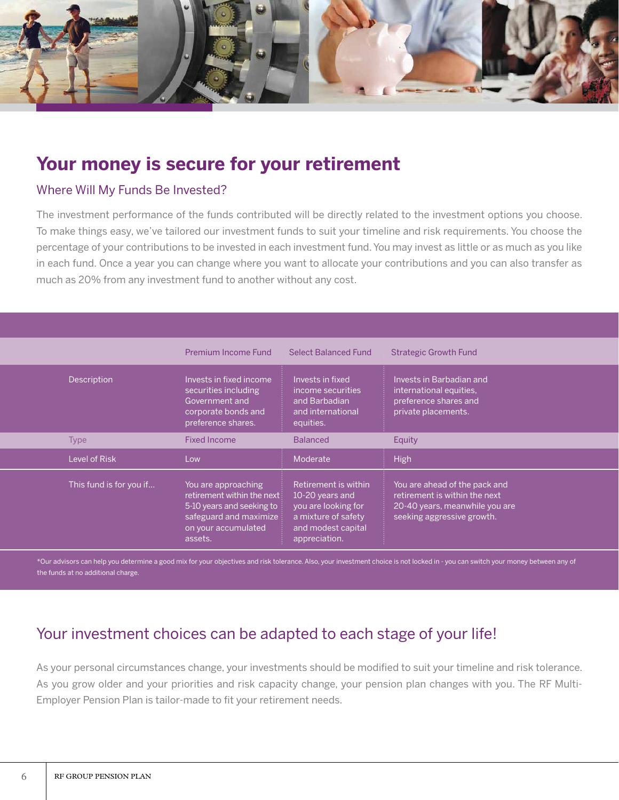

# **Your money is secure for your retirement**

#### Where Will My Funds Be Invested?

The investment performance of the funds contributed will be directly related to the investment options you choose. To make things easy, we've tailored our investment funds to suit your timeline and risk requirements. You choose the percentage of your contributions to be invested in each investment fund. You may invest as little or as much as you like in each fund. Once a year you can change where you want to allocate your contributions and you can also transfer as much as 20% from any investment fund to another without any cost.

|                         | Premium Income Fund                                                                                                                        | <b>Select Balanced Fund</b>                                                                                                  | <b>Strategic Growth Fund</b>                                                                                                   |
|-------------------------|--------------------------------------------------------------------------------------------------------------------------------------------|------------------------------------------------------------------------------------------------------------------------------|--------------------------------------------------------------------------------------------------------------------------------|
| Description             | Invests in fixed income<br>securities including<br>Government and<br>corporate bonds and<br>preference shares.                             | Invests in fixed<br>income securities<br>and Barbadian<br>and international<br>equities.                                     | Invests in Barbadian and<br>international equities,<br>preference shares and<br>private placements.                            |
| <b>Type</b>             | <b>Fixed Income</b>                                                                                                                        | <b>Balanced</b>                                                                                                              | Equity                                                                                                                         |
| Level of Risk           | Low                                                                                                                                        | Moderate                                                                                                                     | <b>High</b>                                                                                                                    |
| This fund is for you if | You are approaching<br>retirement within the next<br>5-10 years and seeking to<br>safeguard and maximize<br>on your accumulated<br>assets. | Retirement is within<br>10-20 years and<br>you are looking for<br>a mixture of safety<br>and modest capital<br>appreciation. | You are ahead of the pack and<br>retirement is within the next<br>20-40 years, meanwhile you are<br>seeking aggressive growth. |

\*Our advisors can help you determine a good mix for your objectives and risk tolerance. Also, your investment choice is not locked in - you can switch your money between any of the funds at no additional charge.

### Your investment choices can be adapted to each stage of your life!

As your personal circumstances change, your investments should be modified to suit your timeline and risk tolerance. As you grow older and your priorities and risk capacity change, your pension plan changes with you. The RF Multi-Employer Pension Plan is tailor-made to fit your retirement needs.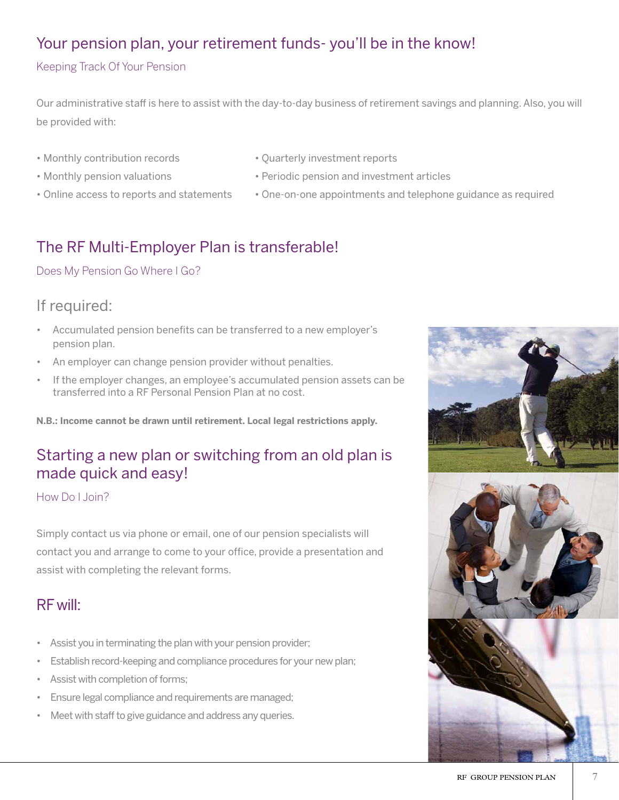## Your pension plan, your retirement funds-you'll be in the know!

#### Keeping Track Of Your Pension

Our administrative staff is here to assist with the day-to-day business of retirement savings and planning. Also, you will be provided with:

- 
- Monthly contribution records Quarterly investment reports
- 
- 
- Monthly pension valuations Periodic pension and investment articles
- Online access to reports and statements One-on-one appointments and telephone guidance as required

## The RF Multi-Employer Plan is transferable!

#### Does My Pension Go Where I Go?

### If required:

- Accumulated pension benefits can be transferred to a new employer's pension plan.
- An employer can change pension provider without penalties.
- If the employer changes, an employee's accumulated pension assets can be transferred into a RF Personal Pension Plan at no cost.

**N.B.: Income cannot be drawn until retirement. Local legal restrictions apply.**

### Starting a new plan or switching from an old plan is made quick and easy!

#### How Do I Join?

Simply contact us via phone or email, one of our pension specialists will contact you and arrange to come to your office, provide a presentation and assist with completing the relevant forms.

### RF will:

- Assist you in terminating the plan with your pension provider;
- Establish record-keeping and compliance procedures for your new plan;
- Assist with completion of forms;
- Ensure legal compliance and requirements are managed;
- Meet with staff to give guidance and address any queries.

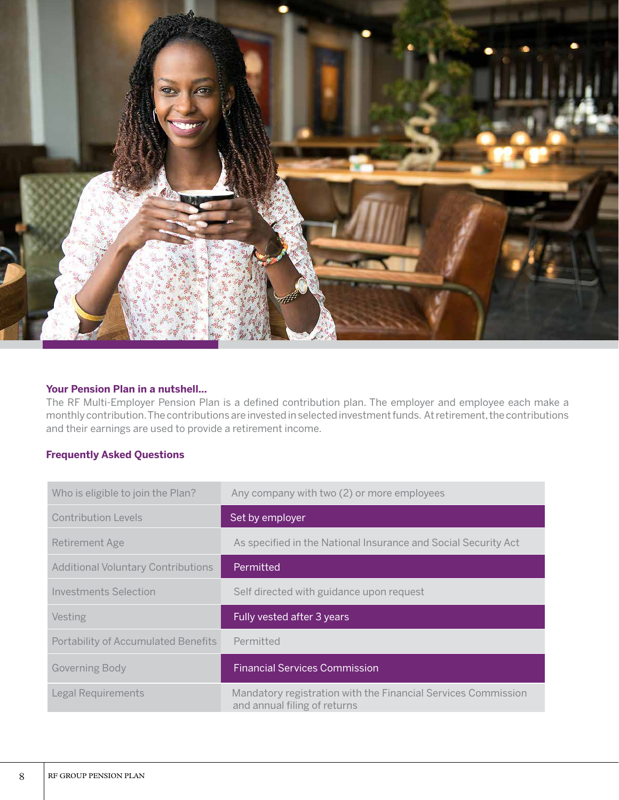

#### **Your Pension Plan in a nutshell...**

The RF Multi-Employer Pension Plan is a defined contribution plan. The employer and employee each make a monthly contribution. The contributions are invested in selected investment funds. At retirement, the contributions and their earnings are used to provide a retirement income.

#### **Frequently Asked Questions**

| Who is eligible to join the Plan?          | Any company with two (2) or more employees                                                    |
|--------------------------------------------|-----------------------------------------------------------------------------------------------|
| <b>Contribution Levels</b>                 | Set by employer                                                                               |
| Retirement Age                             | As specified in the National Insurance and Social Security Act                                |
| <b>Additional Voluntary Contributions</b>  | Permitted                                                                                     |
| Investments Selection                      | Self directed with guidance upon request                                                      |
| Vesting                                    | Fully vested after 3 years                                                                    |
| <b>Portability of Accumulated Benefits</b> | Permitted                                                                                     |
| <b>Governing Body</b>                      | <b>Financial Services Commission</b>                                                          |
| <b>Legal Requirements</b>                  | Mandatory registration with the Financial Services Commission<br>and annual filing of returns |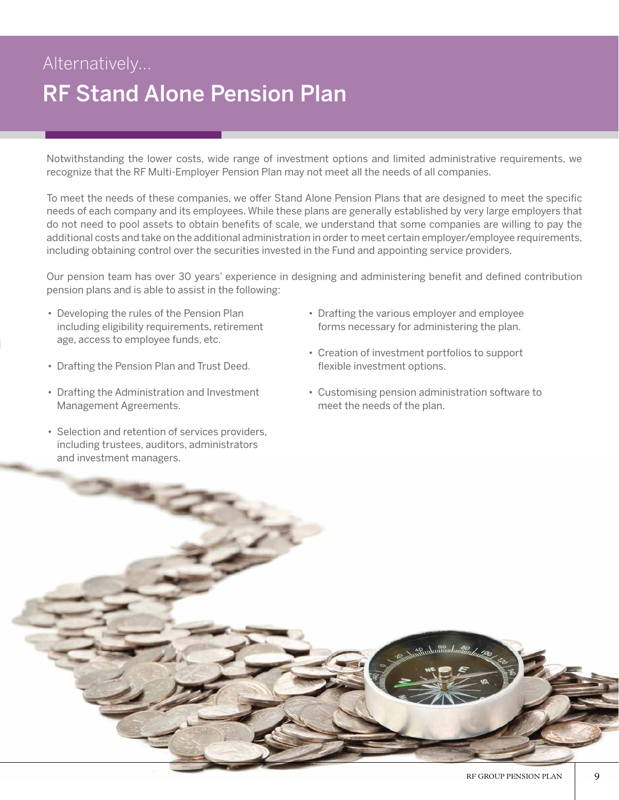# Alternatively... RF Stand Alone Pension Plan

Notwithstanding the lower costs, wide range of investment options and limited administrative requirements, we recognize that the RF Multi-Employer Pension Plan may not meet all the needs of all companies.

To meet the needs of these companies, we offer Stand Alone Pension Plans that are designed to meet the specific needs of each company and its employees. While these plans are generally established by very large employers that do not need to pool assets to obtain benefits of scale, we understand that some companies are willing to pay the additional costs and take on the additional administration in order to meet certain employer/employee requirements, including obtaining control over the securities invested in the Fund and appointing service providers.

Our pension team has over 30 years' experience in designing and administering benefit and defined contribution pension plans and is able to assist in the following:

- Developing the rules of the Pension Plan including eligibility requirements, retirement age, access to employee funds, etc.
- Drafting the Pension Plan and Trust Deed.
- Drafting the Administration and Investment Management Agreements.
- Selection and retention of services providers, including trustees, auditors, administrators and investment managers.
- Drafting the various employer and employee forms necessary for administering the plan.
- Creation of investment portfolios to support flexible investment options.
- Customising pension administration software to meet the needs of the plan.